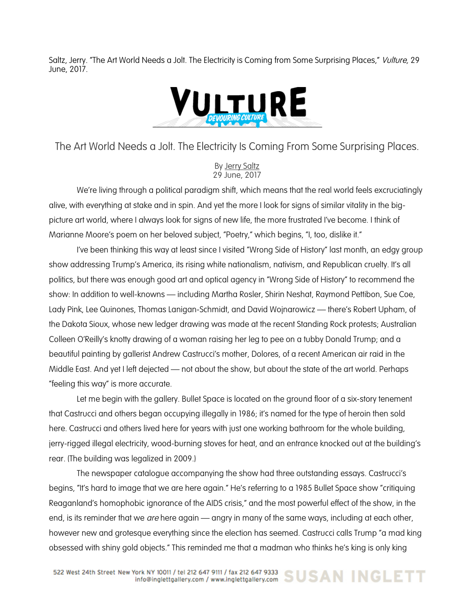Saltz, Jerry. "The Art World Needs a Jolt. The Electricity is Coming from Some Surprising Places," Vulture, 29 June, 2017.



The Art World Needs a Jolt. The Electricity Is Coming From Some Surprising Places.

By Jerry Saltz 29 June, 2017

We're living through a political paradigm shift, which means that the real world feels excruciatingly alive, with everything at stake and in spin. And yet the more I look for signs of similar vitality in the bigpicture art world, where I always look for signs of new life, the more frustrated I've become. I think of Marianne Moore's poem on her beloved subject, "Poetry," which begins, "I, too, dislike it."

I've been thinking this way at least since I visited "Wrong Side of History" last month, an edgy group show addressing Trump's America, its rising white nationalism, nativism, and Republican cruelty. It's all politics, but there was enough good art and optical agency in "Wrong Side of History" to recommend the show: In addition to well-knowns — including Martha Rosler, Shirin Neshat, Raymond Pettibon, Sue Coe, Lady Pink, Lee Quinones, Thomas Lanigan-Schmidt, and David Wojnarowicz — there's Robert Upham, of the Dakota Sioux, whose new ledger drawing was made at the recent Standing Rock protests; Australian Colleen O'Reilly's knotty drawing of a woman raising her leg to pee on a tubby Donald Trump; and a beautiful painting by gallerist Andrew Castrucci's mother, Dolores, of a recent American air raid in the Middle East. And yet I left dejected — not about the show, but about the state of the art world. Perhaps "feeling this way" is more accurate.

Let me begin with the gallery. Bullet Space is located on the ground floor of a six-story tenement that Castrucci and others began occupying illegally in 1986; it's named for the type of heroin then sold here. Castrucci and others lived here for years with just one working bathroom for the whole building, jerry-rigged illegal electricity, wood-burning stoves for heat, and an entrance knocked out at the building's rear. (The building was legalized in 2009.)

The newspaper catalogue accompanying the show had three outstanding essays. Castrucci's begins, "It's hard to image that we are here again." He's referring to a 1985 Bullet Space show "critiquing Reaganland's homophobic ignorance of the AIDS crisis," and the most powerful effect of the show, in the end, is its reminder that we *are* here again — angry in many of the same ways, including at each other, however new and grotesque everything since the election has seemed. Castrucci calls Trump "a mad king obsessed with shiny gold objects." This reminded me that a madman who thinks he's king is only king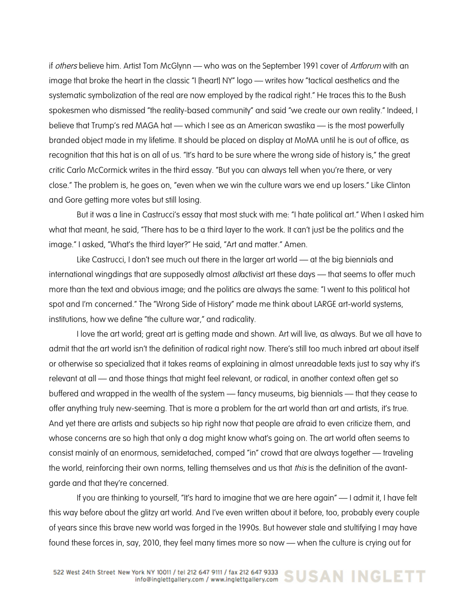if *others* believe him. Artist Tom McGlynn — who was on the September 1991 cover of *Artforum* with an image that broke the heart in the classic "I [heart] NY" logo — writes how "tactical aesthetics and the systematic symbolization of the real are now employed by the radical right." He traces this to the Bush spokesmen who dismissed "the reality-based community" and said "we create our own reality." Indeed, I believe that Trump's red MAGA hat — which I see as an American swastika — is the most powerfully branded object made in my lifetime. It should be placed on display at MoMA until he is out of office, as recognition that this hat is on all of us. "It's hard to be sure where the wrong side of history is," the great critic Carlo McCormick writes in the third essay. "But you can always tell when you're there, or very close." The problem is, he goes on, "even when we win the culture wars we end up losers." Like Clinton and Gore getting more votes but still losing.

But it was a line in Castrucci's essay that most stuck with me: "I hate political art." When I asked him what that meant, he said, "There has to be a third layer to the work. It can't just be the politics and the image." I asked, "What's the third layer?" He said, "Art and matter." Amen.

Like Castrucci, I don't see much out there in the larger art world — at the big biennials and international wingdings that are supposedly almost *allactivist* art these days — that seems to offer much more than the text and obvious image; and the politics are always the same: "I went to this political hot spot and I'm concerned." The "Wrong Side of History" made me think about LARGE art-world systems, institutions, how we define "the culture war," and radicality.

I love the art world; great art is getting made and shown. Art will live, as always. But we all have to admit that the art world isn't the definition of radical right now. There's still too much inbred art about itself or otherwise so specialized that it takes reams of explaining in almost unreadable texts just to say why it's relevant at all — and those things that might feel relevant, or radical, in another context often get so buffered and wrapped in the wealth of the system — fancy museums, big biennials — that they cease to offer anything truly new-seeming. That is more a problem for the art world than art and artists, it's true. And yet there are artists and subjects so hip right now that people are afraid to even criticize them, and whose concerns are so high that only a dog might know what's going on. The art world often seems to consist mainly of an enormous, semidetached, comped "in" crowd that are always together — traveling the world, reinforcing their own norms, telling themselves and us that this is the definition of the avantgarde and that they're concerned.

If you are thinking to yourself, "It's hard to imagine that we are here again" — I admit it, I have felt this way before about the glitzy art world. And I've even written about it before, too, probably every couple of years since this brave new world was forged in the 1990s. But however stale and stultifying I may have found these forces in, say, 2010, they feel many times more so now — when the culture is crying out for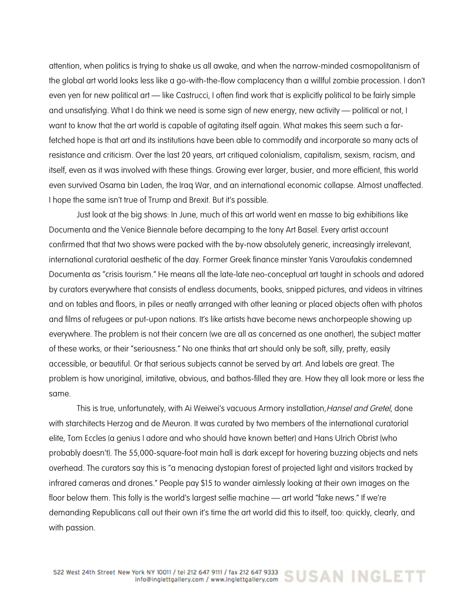attention, when politics is trying to shake us all awake, and when the narrow-minded cosmopolitanism of the global art world looks less like a go-with-the-flow complacency than a willful zombie procession. I don't even yen for new political art — like Castrucci, I often find work that is explicitly political to be fairly simple and unsatisfying. What I do think we need is some sign of new energy, new activity — political or not, I want to know that the art world is capable of agitating itself again. What makes this seem such a farfetched hope is that art and its institutions have been able to commodify and incorporate so many acts of resistance and criticism. Over the last 20 years, art critiqued colonialism, capitalism, sexism, racism, and itself, even as it was involved with these things. Growing ever larger, busier, and more efficient, this world even survived Osama bin Laden, the Iraq War, and an international economic collapse. Almost unaffected. I hope the same isn't true of Trump and Brexit. But it's possible.

Just look at the big shows: In June, much of this art world went en masse to big exhibitions like Documenta and the Venice Biennale before decamping to the tony Art Basel. Every artist account confirmed that that two shows were packed with the by-now absolutely generic, increasingly irrelevant, international curatorial aesthetic of the day. Former Greek finance minster Yanis Varoufakis condemned Documenta as "crisis tourism." He means all the late-late neo-conceptual art taught in schools and adored by curators everywhere that consists of endless documents, books, snipped pictures, and videos in vitrines and on tables and floors, in piles or neatly arranged with other leaning or placed objects often with photos and films of refugees or put-upon nations. It's like artists have become news anchorpeople showing up everywhere. The problem is not their concern (we are all as concerned as one another), the subject matter of these works, or their "seriousness." No one thinks that art should only be soft, silly, pretty, easily accessible, or beautiful. Or that serious subjects cannot be served by art. And labels are great. The problem is how unoriginal, imitative, obvious, and bathos-filled they are. How they all look more or less the same.

This is true, unfortunately, with Ai Weiwei's vacuous Armory installation, Hansel and Gretel, done with starchitects Herzog and de Meuron. It was curated by two members of the international curatorial elite, Tom Eccles (a genius I adore and who should have known better) and Hans Ulrich Obrist (who probably doesn't). The 55,000-square-foot main hall is dark except for hovering buzzing objects and nets overhead. The curators say this is "a menacing dystopian forest of projected light and visitors tracked by infrared cameras and drones." People pay \$15 to wander aimlessly looking at their own images on the floor below them. This folly is the world's largest selfie machine — art world "fake news." If we're demanding Republicans call out their own it's time the art world did this to itself, too: quickly, clearly, and with passion.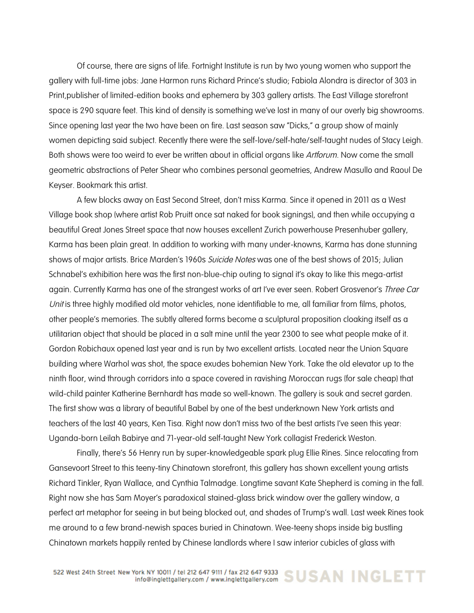Of course, there are signs of life. Fortnight Institute is run by two young women who support the gallery with full-time jobs: Jane Harmon runs Richard Prince's studio; Fabiola Alondra is director of 303 in Print,publisher of limited-edition books and ephemera by 303 gallery artists. The East Village storefront space is 290 square feet. This kind of density is something we've lost in many of our overly big showrooms. Since opening last year the two have been on fire. Last season saw "Dicks," a group show of mainly women depicting said subject. Recently there were the self-love/self-hate/self-taught nudes of Stacy Leigh. Both shows were too weird to ever be written about in official organs like Artforum. Now come the small geometric abstractions of Peter Shear who combines personal geometries, Andrew Masullo and Raoul De Keyser. Bookmark this artist.

A few blocks away on East Second Street, don't miss Karma. Since it opened in 2011 as a West Village book shop (where artist Rob Pruitt once sat naked for book signings), and then while occupying a beautiful Great Jones Street space that now houses excellent Zurich powerhouse Presenhuber gallery, Karma has been plain great. In addition to working with many under-knowns, Karma has done stunning shows of major artists. Brice Marden's 1960s Suicide Notes was one of the best shows of 2015; Julian Schnabel's exhibition here was the first non-blue-chip outing to signal it's okay to like this mega-artist again. Currently Karma has one of the strangest works of art I've ever seen. Robert Grosvenor's Three Car Unit is three highly modified old motor vehicles, none identifiable to me, all familiar from films, photos, other people's memories. The subtly altered forms become a sculptural proposition cloaking itself as a utilitarian object that should be placed in a salt mine until the year 2300 to see what people make of it. Gordon Robichaux opened last year and is run by two excellent artists. Located near the Union Square building where Warhol was shot, the space exudes bohemian New York. Take the old elevator up to the ninth floor, wind through corridors into a space covered in ravishing Moroccan rugs (for sale cheap) that wild-child painter Katherine Bernhardt has made so well-known. The gallery is souk and secret garden. The first show was a library of beautiful Babel by one of the best underknown New York artists and teachers of the last 40 years, Ken Tisa. Right now don't miss two of the best artists I've seen this year: Uganda-born Leilah Babirye and 71-year-old self-taught New York collagist Frederick Weston.

Finally, there's 56 Henry run by super-knowledgeable spark plug Ellie Rines. Since relocating from Gansevoort Street to this teeny-tiny Chinatown storefront, this gallery has shown excellent young artists Richard Tinkler, Ryan Wallace, and Cynthia Talmadge. Longtime savant Kate Shepherd is coming in the fall. Right now she has Sam Moyer's paradoxical stained-glass brick window over the gallery window, a perfect art metaphor for seeing in but being blocked out, and shades of Trump's wall. Last week Rines took me around to a few brand-newish spaces buried in Chinatown. Wee-teeny shops inside big bustling Chinatown markets happily rented by Chinese landlords where I saw interior cubicles of glass with